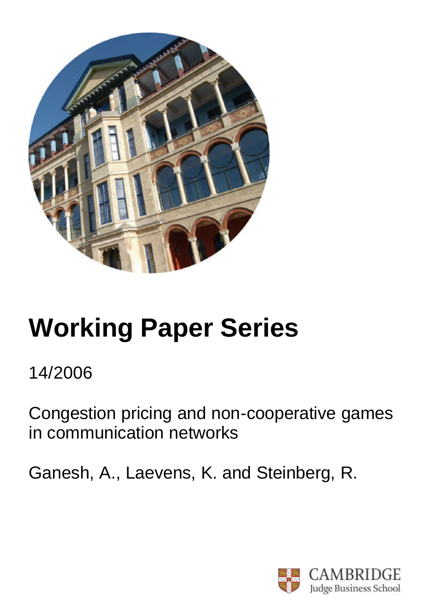

# **Working Paper Series**

# 14/2006

Congestion pricing and non-cooperative games in communication networks

Ganesh, A., Laevens, K. and Steinberg, R.

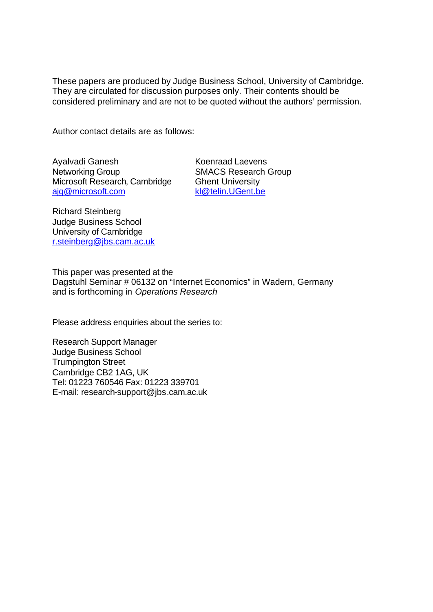These papers are produced by Judge Business School, University of Cambridge. They are circulated for discussion purposes only. Their contents should be considered preliminary and are not to be quoted without the authors' permission.

Author contact details are as follows:

Ayalvadi Ganesh Networking Group Microsoft Research, Cambridge ajg@microsoft.com

Koenraad Laevens SMACS Research Group Ghent University kl@telin.UGent.be

Richard Steinberg Judge Business School University of Cambridge r.steinberg@jbs.cam.ac.uk

This paper was presented at the Dagstuhl Seminar # 06132 on "Internet Economics" in Wadern, Germany and is forthcoming in *Operations Research*

Please address enquiries about the series to:

Research Support Manager Judge Business School Trumpington Street Cambridge CB2 1AG, UK Tel: 01223 760546 Fax: 01223 339701 E-mail: research-support@jbs.cam.ac.uk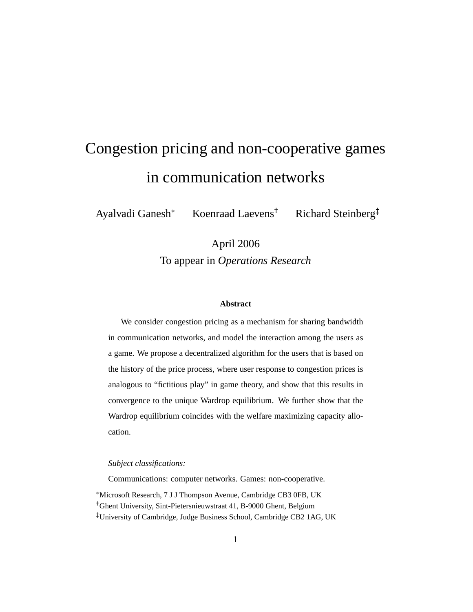## Congestion pricing and non-cooperative games in communication networks

Ayalvadi Ganesh<sup>∗</sup> Koenraad Laevens† Richard Steinberg‡

April 2006 To appear in *Operations Research*

#### **Abstract**

We consider congestion pricing as a mechanism for sharing bandwidth in communication networks, and model the interaction among the users as a game. We propose a decentralized algorithm for the users that is based on the history of the price process, where user response to congestion prices is analogous to "fictitious play" in game theory, and show that this results in convergence to the unique Wardrop equilibrium. We further show that the Wardrop equilibrium coincides with the welfare maximizing capacity allocation.

*Subject classifications:*

Communications: computer networks. Games: non-cooperative.

<sup>∗</sup>Microsoft Research, 7 J J Thompson Avenue, Cambridge CB3 0FB, UK †Ghent University, Sint-Pietersnieuwstraat 41, B-9000 Ghent, Belgium ‡University of Cambridge, Judge Business School, Cambridge CB2 1AG, UK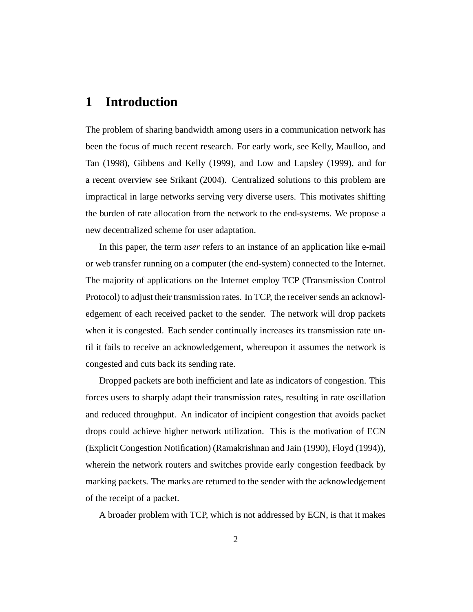#### **1 Introduction**

The problem of sharing bandwidth among users in a communication network has been the focus of much recent research. For early work, see Kelly, Maulloo, and Tan (1998), Gibbens and Kelly (1999), and Low and Lapsley (1999), and for a recent overview see Srikant (2004). Centralized solutions to this problem are impractical in large networks serving very diverse users. This motivates shifting the burden of rate allocation from the network to the end-systems. We propose a new decentralized scheme for user adaptation.

In this paper, the term *user* refers to an instance of an application like e-mail or web transfer running on a computer (the end-system) connected to the Internet. The majority of applications on the Internet employ TCP (Transmission Control Protocol) to adjust their transmission rates. In TCP, the receiver sends an acknowledgement of each received packet to the sender. The network will drop packets when it is congested. Each sender continually increases its transmission rate until it fails to receive an acknowledgement, whereupon it assumes the network is congested and cuts back its sending rate.

Dropped packets are both inefficient and late as indicators of congestion. This forces users to sharply adapt their transmission rates, resulting in rate oscillation and reduced throughput. An indicator of incipient congestion that avoids packet drops could achieve higher network utilization. This is the motivation of ECN (Explicit Congestion Notification) (Ramakrishnan and Jain (1990), Floyd (1994)), wherein the network routers and switches provide early congestion feedback by marking packets. The marks are returned to the sender with the acknowledgement of the receipt of a packet.

A broader problem with TCP, which is not addressed by ECN, is that it makes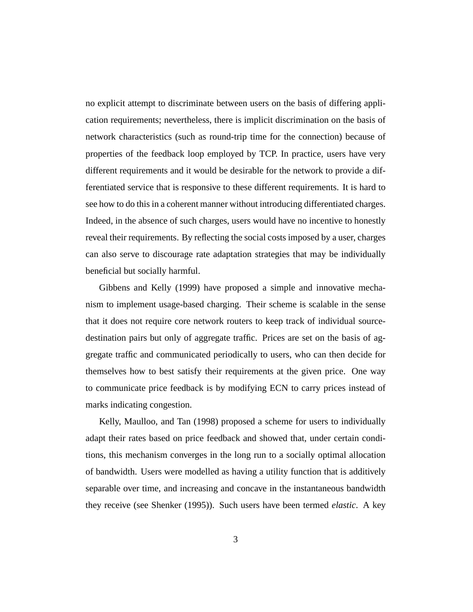no explicit attempt to discriminate between users on the basis of differing application requirements; nevertheless, there is implicit discrimination on the basis of network characteristics (such as round-trip time for the connection) because of properties of the feedback loop employed by TCP. In practice, users have very different requirements and it would be desirable for the network to provide a differentiated service that is responsive to these different requirements. It is hard to see how to do this in a coherent manner without introducing differentiated charges. Indeed, in the absence of such charges, users would have no incentive to honestly reveal their requirements. By reflecting the social costs imposed by a user, charges can also serve to discourage rate adaptation strategies that may be individually beneficial but socially harmful.

Gibbens and Kelly (1999) have proposed a simple and innovative mechanism to implement usage-based charging. Their scheme is scalable in the sense that it does not require core network routers to keep track of individual sourcedestination pairs but only of aggregate traffic. Prices are set on the basis of aggregate traffic and communicated periodically to users, who can then decide for themselves how to best satisfy their requirements at the given price. One way to communicate price feedback is by modifying ECN to carry prices instead of marks indicating congestion.

Kelly, Maulloo, and Tan (1998) proposed a scheme for users to individually adapt their rates based on price feedback and showed that, under certain conditions, this mechanism converges in the long run to a socially optimal allocation of bandwidth. Users were modelled as having a utility function that is additively separable over time, and increasing and concave in the instantaneous bandwidth they receive (see Shenker (1995)). Such users have been termed *elastic*. A key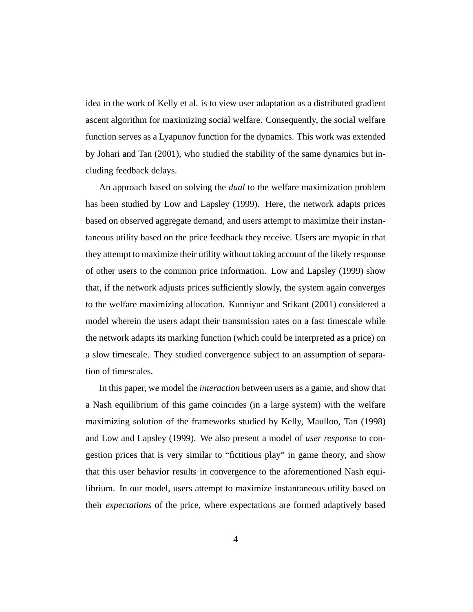idea in the work of Kelly et al. is to view user adaptation as a distributed gradient ascent algorithm for maximizing social welfare. Consequently, the social welfare function serves as a Lyapunov function for the dynamics. This work was extended by Johari and Tan (2001), who studied the stability of the same dynamics but including feedback delays.

An approach based on solving the *dual* to the welfare maximization problem has been studied by Low and Lapsley (1999). Here, the network adapts prices based on observed aggregate demand, and users attempt to maximize their instantaneous utility based on the price feedback they receive. Users are myopic in that they attempt to maximize their utility without taking account of the likely response of other users to the common price information. Low and Lapsley (1999) show that, if the network adjusts prices sufficiently slowly, the system again converges to the welfare maximizing allocation. Kunniyur and Srikant (2001) considered a model wherein the users adapt their transmission rates on a fast timescale while the network adapts its marking function (which could be interpreted as a price) on a slow timescale. They studied convergence subject to an assumption of separation of timescales.

In this paper, we model the *interaction* between users as a game, and show that a Nash equilibrium of this game coincides (in a large system) with the welfare maximizing solution of the frameworks studied by Kelly, Maulloo, Tan (1998) and Low and Lapsley (1999). We also present a model of *user response* to congestion prices that is very similar to "fictitious play" in game theory, and show that this user behavior results in convergence to the aforementioned Nash equilibrium. In our model, users attempt to maximize instantaneous utility based on their *expectations* of the price, where expectations are formed adaptively based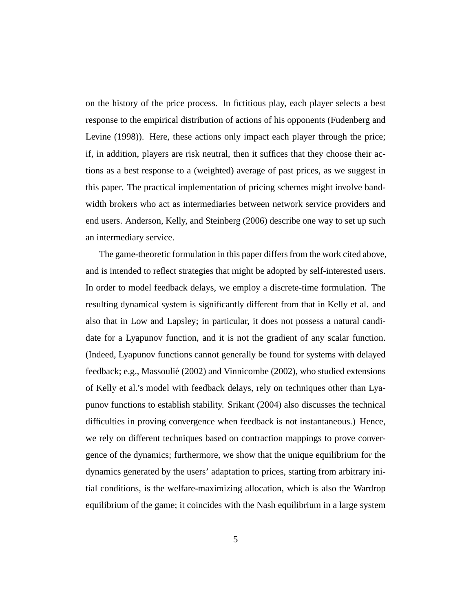on the history of the price process. In fictitious play, each player selects a best response to the empirical distribution of actions of his opponents (Fudenberg and Levine (1998)). Here, these actions only impact each player through the price; if, in addition, players are risk neutral, then it suffices that they choose their actions as a best response to a (weighted) average of past prices, as we suggest in this paper. The practical implementation of pricing schemes might involve bandwidth brokers who act as intermediaries between network service providers and end users. Anderson, Kelly, and Steinberg (2006) describe one way to set up such an intermediary service.

The game-theoretic formulation in this paper differs from the work cited above, and is intended to reflect strategies that might be adopted by self-interested users. In order to model feedback delays, we employ a discrete-time formulation. The resulting dynamical system is significantly different from that in Kelly et al. and also that in Low and Lapsley; in particular, it does not possess a natural candidate for a Lyapunov function, and it is not the gradient of any scalar function. (Indeed, Lyapunov functions cannot generally be found for systems with delayed feedback; e.g., Massoulié (2002) and Vinnicombe (2002), who studied extensions of Kelly et al.'s model with feedback delays, rely on techniques other than Lyapunov functions to establish stability. Srikant (2004) also discusses the technical difficulties in proving convergence when feedback is not instantaneous.) Hence, we rely on different techniques based on contraction mappings to prove convergence of the dynamics; furthermore, we show that the unique equilibrium for the dynamics generated by the users' adaptation to prices, starting from arbitrary initial conditions, is the welfare-maximizing allocation, which is also the Wardrop equilibrium of the game; it coincides with the Nash equilibrium in a large system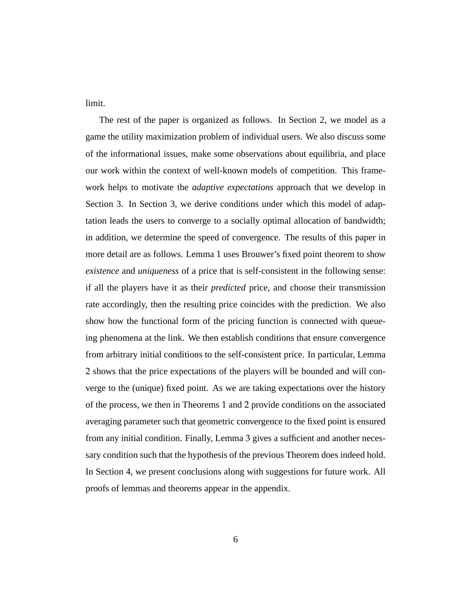limit.

The rest of the paper is organized as follows. In Section 2, we model as a game the utility maximization problem of individual users. We also discuss some of the informational issues, make some observations about equilibria, and place our work within the context of well-known models of competition. This framework helps to motivate the *adaptive expectations* approach that we develop in Section 3. In Section 3, we derive conditions under which this model of adaptation leads the users to converge to a socially optimal allocation of bandwidth; in addition, we determine the speed of convergence. The results of this paper in more detail are as follows. Lemma 1 uses Brouwer's fixed point theorem to show *existence* and *uniqueness* of a price that is self-consistent in the following sense: if all the players have it as their *predicted* price, and choose their transmission rate accordingly, then the resulting price coincides with the prediction. We also show how the functional form of the pricing function is connected with queueing phenomena at the link. We then establish conditions that ensure convergence from arbitrary initial conditions to the self-consistent price. In particular, Lemma 2 shows that the price expectations of the players will be bounded and will converge to the (unique) fixed point. As we are taking expectations over the history of the process, we then in Theorems 1 and 2 provide conditions on the associated averaging parameter such that geometric convergence to the fixed point is ensured from any initial condition. Finally, Lemma 3 gives a sufficient and another necessary condition such that the hypothesis of the previous Theorem does indeed hold. In Section 4, we present conclusions along with suggestions for future work. All proofs of lemmas and theorems appear in the appendix.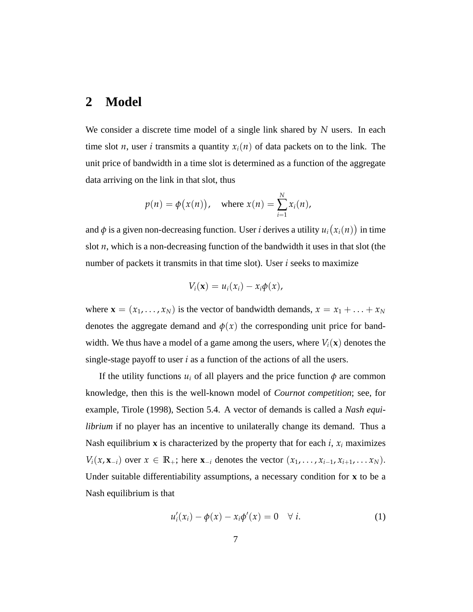#### **2 Model**

We consider a discrete time model of a single link shared by *N* users. In each time slot *n*, user *i* transmits a quantity  $x_i(n)$  of data packets on to the link. The unit price of bandwidth in a time slot is determined as a function of the aggregate data arriving on the link in that slot, thus

$$
p(n) = \phi(x(n)), \quad \text{where } x(n) = \sum_{i=1}^{N} x_i(n),
$$

and *φ* is a given non-decreasing function. User *i* derives a utility *u<sup>i</sup>* ¡ *xi*(*n*) ¢ in time slot *n*, which is a non-decreasing function of the bandwidth it uses in that slot (the number of packets it transmits in that time slot). User *i* seeks to maximize

$$
V_i(\mathbf{x})=u_i(x_i)-x_i\phi(x),
$$

where  $\mathbf{x} = (x_1, \dots, x_N)$  is the vector of bandwidth demands,  $x = x_1 + \dots + x_N$ denotes the aggregate demand and  $\phi(x)$  the corresponding unit price for bandwidth. We thus have a model of a game among the users, where  $V_i(\mathbf{x})$  denotes the single-stage payoff to user *i* as a function of the actions of all the users.

If the utility functions  $u_i$  of all players and the price function  $\phi$  are common knowledge, then this is the well-known model of *Cournot competition*; see, for example, Tirole (1998), Section 5.4. A vector of demands is called a *Nash equilibrium* if no player has an incentive to unilaterally change its demand. Thus a Nash equilibrium **x** is characterized by the property that for each *i*,  $x_i$  maximizes *V*<sub>*i*</sub>( $x$ ,  $\mathbf{x}$ <sub>−*i*</sub>) over  $x \in \mathbb{R}_+$ ; here  $\mathbf{x}_{-i}$  denotes the vector  $(x_1, \ldots, x_{i-1}, x_{i+1}, \ldots, x_N)$ . Under suitable differentiability assumptions, a necessary condition for **x** to be a Nash equilibrium is that

$$
u'_i(x_i) - \phi(x) - x_i \phi'(x) = 0 \quad \forall i.
$$
 (1)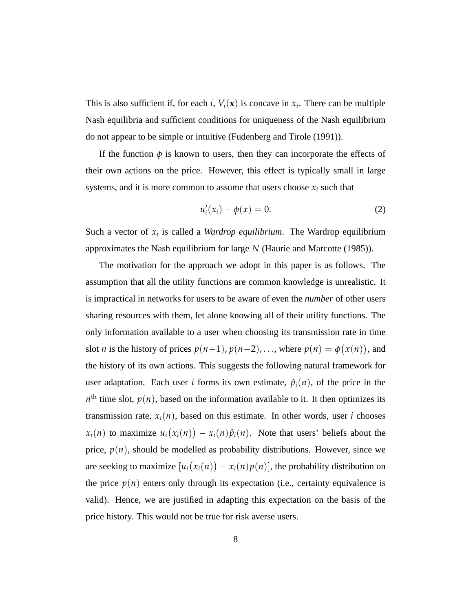This is also sufficient if, for each *i*,  $V_i(\mathbf{x})$  is concave in  $x_i$ . There can be multiple Nash equilibria and sufficient conditions for uniqueness of the Nash equilibrium do not appear to be simple or intuitive (Fudenberg and Tirole (1991)).

If the function  $\phi$  is known to users, then they can incorporate the effects of their own actions on the price. However, this effect is typically small in large systems, and it is more common to assume that users choose  $x_i$  such that

$$
u_i'(x_i) - \phi(x) = 0.
$$
 (2)

Such a vector of  $x_i$  is called a *Wardrop equilibrium*. The Wardrop equilibrium approximates the Nash equilibrium for large *N* (Haurie and Marcotte (1985)).

The motivation for the approach we adopt in this paper is as follows. The assumption that all the utility functions are common knowledge is unrealistic. It is impractical in networks for users to be aware of even the *number* of other users sharing resources with them, let alone knowing all of their utility functions. The only information available to a user when choosing its transmission rate in time slot *n* is the history of prices  $p(n-1)$ ,  $p(n-2)$ , ..., where  $p(n) = \phi$ ¡ *x*(*n*) ¢ , and the history of its own actions. This suggests the following natural framework for user adaptation. Each user *i* forms its own estimate,  $\hat{p}_i(n)$ , of the price in the  $n<sup>th</sup>$  time slot,  $p(n)$ , based on the information available to it. It then optimizes its transmission rate,  $x_i(n)$ , based on this estimate. In other words, user *i* chooses  $x_i(n)$  to maximize  $u_i$ ¡ *xi*(*n*) ¢  $-x_i(n)\hat{p}_i(n)$ . Note that users' beliefs about the price,  $p(n)$ , should be modelled as probability distributions. However, since we are seeking to maximize [*u<sup>i</sup>* ¡ *xi*(*n*) ¢  $- x_i(n)p(n)$ , the probability distribution on the price  $p(n)$  enters only through its expectation (i.e., certainty equivalence is valid). Hence, we are justified in adapting this expectation on the basis of the price history. This would not be true for risk averse users.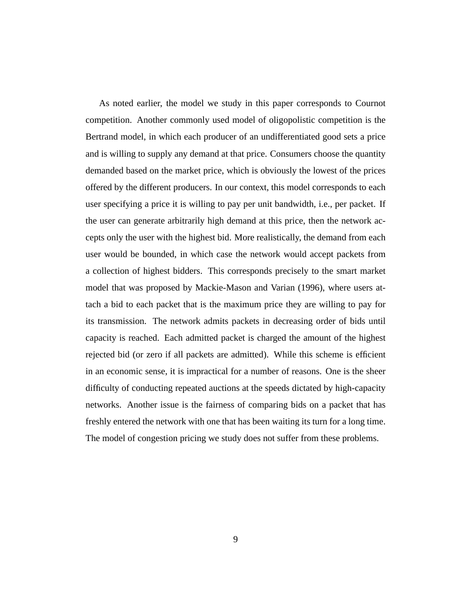As noted earlier, the model we study in this paper corresponds to Cournot competition. Another commonly used model of oligopolistic competition is the Bertrand model, in which each producer of an undifferentiated good sets a price and is willing to supply any demand at that price. Consumers choose the quantity demanded based on the market price, which is obviously the lowest of the prices offered by the different producers. In our context, this model corresponds to each user specifying a price it is willing to pay per unit bandwidth, i.e., per packet. If the user can generate arbitrarily high demand at this price, then the network accepts only the user with the highest bid. More realistically, the demand from each user would be bounded, in which case the network would accept packets from a collection of highest bidders. This corresponds precisely to the smart market model that was proposed by Mackie-Mason and Varian (1996), where users attach a bid to each packet that is the maximum price they are willing to pay for its transmission. The network admits packets in decreasing order of bids until capacity is reached. Each admitted packet is charged the amount of the highest rejected bid (or zero if all packets are admitted). While this scheme is efficient in an economic sense, it is impractical for a number of reasons. One is the sheer difficulty of conducting repeated auctions at the speeds dictated by high-capacity networks. Another issue is the fairness of comparing bids on a packet that has freshly entered the network with one that has been waiting its turn for a long time. The model of congestion pricing we study does not suffer from these problems.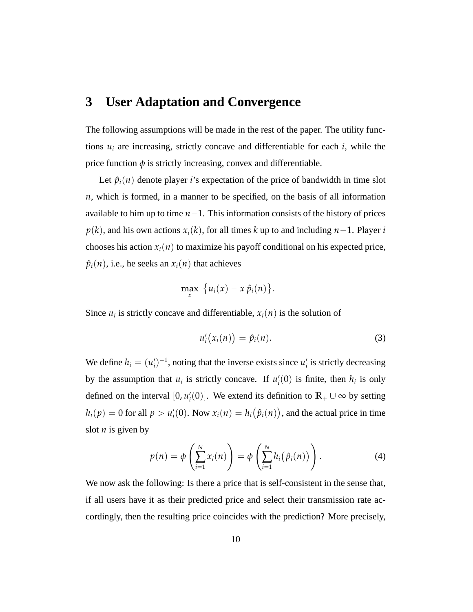#### **3 User Adaptation and Convergence**

The following assumptions will be made in the rest of the paper. The utility functions  $u_i$  are increasing, strictly concave and differentiable for each  $i$ , while the price function  $\phi$  is strictly increasing, convex and differentiable.

Let  $\hat{p}_i(n)$  denote player *i*'s expectation of the price of bandwidth in time slot *n*, which is formed, in a manner to be specified, on the basis of all information available to him up to time *n*−1. This information consists of the history of prices  $p(k)$ , and his own actions  $x_i(k)$ , for all times k up to and including  $n-1$ . Player *i* chooses his action  $x_i(n)$  to maximize his payoff conditional on his expected price,  $\hat{p}_i(n)$ , i.e., he seeks an  $x_i(n)$  that achieves

$$
\max_x \ \big\{ u_i(x) - x \hat{p}_i(n) \big\}.
$$

Since  $u_i$  is strictly concave and differentiable,  $x_i(n)$  is the solution of

$$
u'_{i}(x_{i}(n)) = \hat{p}_{i}(n).
$$
 (3)

We define  $h_i = (u'_i)^{-1}$ , noting that the inverse exists since  $u'_i$  is strictly decreasing by the assumption that  $u_i$  is strictly concave. If  $u'_i(0)$  is finite, then  $h_i$  is only defined on the interval  $[0, u'_i(0)]$ . We extend its definition to  $\mathbb{R}_+ \cup \infty$  by setting  $h_i(p) = 0$  for all  $p > u'_i(0)$ . Now  $x_i(n) = h_i$ ¡  $\hat{p}_i(n)$ ¢ , and the actual price in time slot  $n$  is given by

$$
p(n) = \phi\left(\sum_{i=1}^N x_i(n)\right) = \phi\left(\sum_{i=1}^N h_i(\hat{p}_i(n))\right).
$$
 (4)

We now ask the following: Is there a price that is self-consistent in the sense that, if all users have it as their predicted price and select their transmission rate accordingly, then the resulting price coincides with the prediction? More precisely,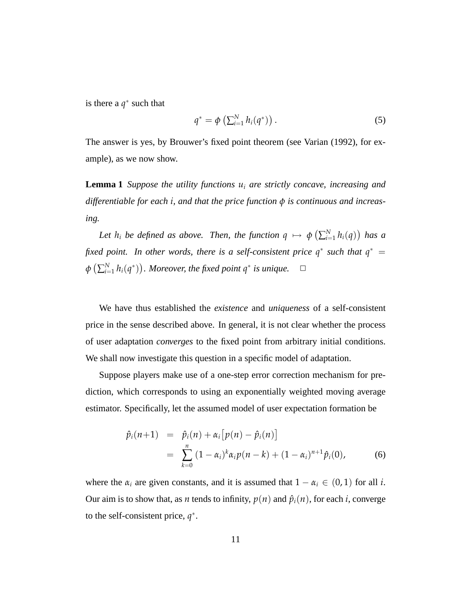is there a  $q^*$  such that

$$
q^* = \phi\left(\sum_{i=1}^N h_i(q^*)\right). \tag{5}
$$

The answer is yes, by Brouwer's fixed point theorem (see Varian (1992), for example), as we now show.

**Lemma 1** *Suppose the utility functions u<sup>i</sup> are strictly concave, increasing and differentiable for each i, and that the price function φ is continuous and increasing.*

*Let*  $h_i$  *be defined as above. Then, the function*  $q \mapsto \phi$ ¡  $\sum_{i=1}^{N} h_i(q)$ ¢ *has a fixed point.* In other words, there is a self-consistent price  $q^*$  such that  $q^*$  = *φ* ¡  $\sum_{i=1}^N h_i(q^*)$ ¢ *a Moreover, the fixed point*  $q^*$  *is unique.*  $\Box$ 

We have thus established the *existence* and *uniqueness* of a self-consistent price in the sense described above. In general, it is not clear whether the process of user adaptation *converges* to the fixed point from arbitrary initial conditions. We shall now investigate this question in a specific model of adaptation.

Suppose players make use of a one-step error correction mechanism for prediction, which corresponds to using an exponentially weighted moving average estimator. Specifically, let the assumed model of user expectation formation be

$$
\hat{p}_i(n+1) = \hat{p}_i(n) + \alpha_i [p(n) - \hat{p}_i(n)] \n= \sum_{k=0}^n (1 - \alpha_i)^k \alpha_i p(n-k) + (1 - \alpha_i)^{n+1} \hat{p}_i(0),
$$
\n(6)

where the  $\alpha_i$  are given constants, and it is assumed that  $1 - \alpha_i \in (0, 1)$  for all *i*. Our aim is to show that, as *n* tends to infinity,  $p(n)$  and  $\hat{p}_i(n)$ , for each *i*, converge to the self-consistent price,  $q^*$ .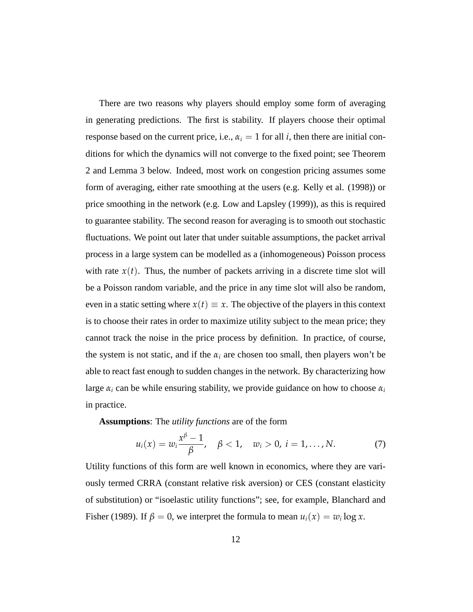There are two reasons why players should employ some form of averaging in generating predictions. The first is stability. If players choose their optimal response based on the current price, i.e.,  $\alpha_i = 1$  for all *i*, then there are initial conditions for which the dynamics will not converge to the fixed point; see Theorem 2 and Lemma 3 below. Indeed, most work on congestion pricing assumes some form of averaging, either rate smoothing at the users (e.g. Kelly et al. (1998)) or price smoothing in the network (e.g. Low and Lapsley (1999)), as this is required to guarantee stability. The second reason for averaging is to smooth out stochastic fluctuations. We point out later that under suitable assumptions, the packet arrival process in a large system can be modelled as a (inhomogeneous) Poisson process with rate  $x(t)$ . Thus, the number of packets arriving in a discrete time slot will be a Poisson random variable, and the price in any time slot will also be random, even in a static setting where  $x(t) \equiv x$ . The objective of the players in this context is to choose their rates in order to maximize utility subject to the mean price; they cannot track the noise in the price process by definition. In practice, of course, the system is not static, and if the  $\alpha_i$  are chosen too small, then players won't be able to react fast enough to sudden changes in the network. By characterizing how large  $\alpha_i$  can be while ensuring stability, we provide guidance on how to choose  $\alpha_i$ in practice.

**Assumptions**: The *utility functions* are of the form

$$
u_i(x) = w_i \frac{x^{\beta} - 1}{\beta}, \quad \beta < 1, \quad w_i > 0, \ i = 1, ..., N.
$$
 (7)

Utility functions of this form are well known in economics, where they are variously termed CRRA (constant relative risk aversion) or CES (constant elasticity of substitution) or "isoelastic utility functions"; see, for example, Blanchard and Fisher (1989). If  $\beta = 0$ , we interpret the formula to mean  $u_i(x) = w_i \log x$ .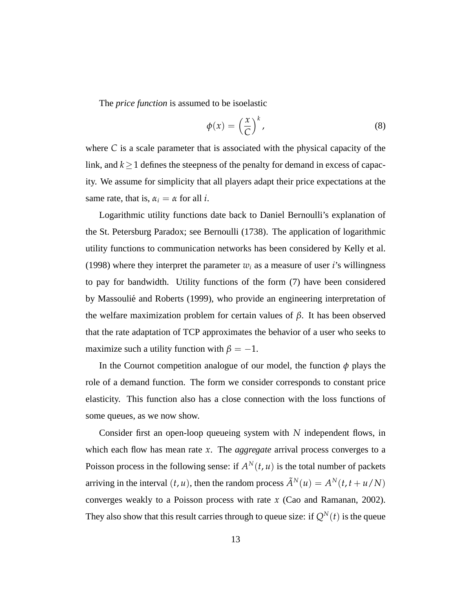The *price function* is assumed to be isoelastic

$$
\phi(x) = \left(\frac{x}{C}\right)^k,\tag{8}
$$

where *C* is a scale parameter that is associated with the physical capacity of the link, and *k*≥1 defines the steepness of the penalty for demand in excess of capacity. We assume for simplicity that all players adapt their price expectations at the same rate, that is,  $\alpha_i = \alpha$  for all *i*.

Logarithmic utility functions date back to Daniel Bernoulli's explanation of the St. Petersburg Paradox; see Bernoulli (1738). The application of logarithmic utility functions to communication networks has been considered by Kelly et al. (1998) where they interpret the parameter  $w_i$  as a measure of user *i*'s willingness to pay for bandwidth. Utility functions of the form (7) have been considered by Massoulié and Roberts (1999), who provide an engineering interpretation of the welfare maximization problem for certain values of *β*. It has been observed that the rate adaptation of TCP approximates the behavior of a user who seeks to maximize such a utility function with  $\beta = -1$ .

In the Cournot competition analogue of our model, the function  $\phi$  plays the role of a demand function. The form we consider corresponds to constant price elasticity. This function also has a close connection with the loss functions of some queues, as we now show.

Consider first an open-loop queueing system with *N* independent flows, in which each flow has mean rate *x*. The *aggregate* arrival process converges to a Poisson process in the following sense: if  $A^N(t, u)$  is the total number of packets arriving in the interval  $(t, u)$ , then the random process  $\tilde{A}^{N}(u) = A^{N}(t, t + u/N)$ converges weakly to a Poisson process with rate *x* (Cao and Ramanan, 2002). They also show that this result carries through to queue size: if  $Q^N(t)$  is the queue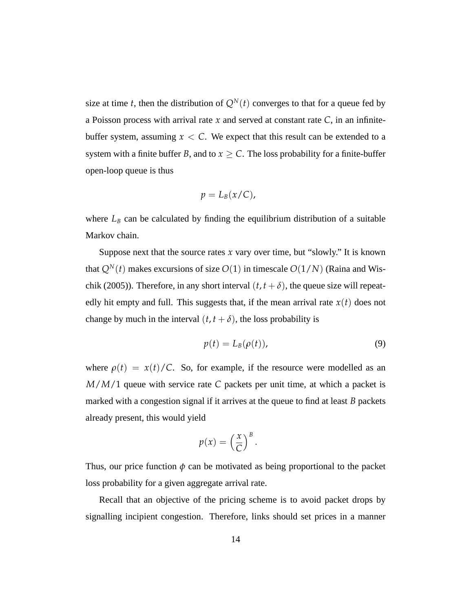size at time *t*, then the distribution of  $Q<sup>N</sup>(t)$  converges to that for a queue fed by a Poisson process with arrival rate *x* and served at constant rate *C*, in an infinitebuffer system, assuming  $x < C$ . We expect that this result can be extended to a system with a finite buffer *B*, and to  $x > C$ . The loss probability for a finite-buffer open-loop queue is thus

$$
p=L_B(x/C),
$$

where  $L_B$  can be calculated by finding the equilibrium distribution of a suitable Markov chain.

Suppose next that the source rates  $x$  vary over time, but "slowly." It is known that  $Q^{N}(t)$  makes excursions of size  $O(1)$  in timescale  $O(1/N)$  (Raina and Wischik (2005)). Therefore, in any short interval  $(t, t + \delta)$ , the queue size will repeatedly hit empty and full. This suggests that, if the mean arrival rate  $x(t)$  does not change by much in the interval  $(t, t + \delta)$ , the loss probability is

$$
p(t) = L_B(\rho(t)),
$$
\n(9)

where  $\rho(t) = x(t)/C$ . So, for example, if the resource were modelled as an *M*/*M*/1 queue with service rate *C* packets per unit time, at which a packet is marked with a congestion signal if it arrives at the queue to find at least *B* packets already present, this would yield

$$
p(x) = \left(\frac{x}{C}\right)^B.
$$

Thus, our price function  $\phi$  can be motivated as being proportional to the packet loss probability for a given aggregate arrival rate.

Recall that an objective of the pricing scheme is to avoid packet drops by signalling incipient congestion. Therefore, links should set prices in a manner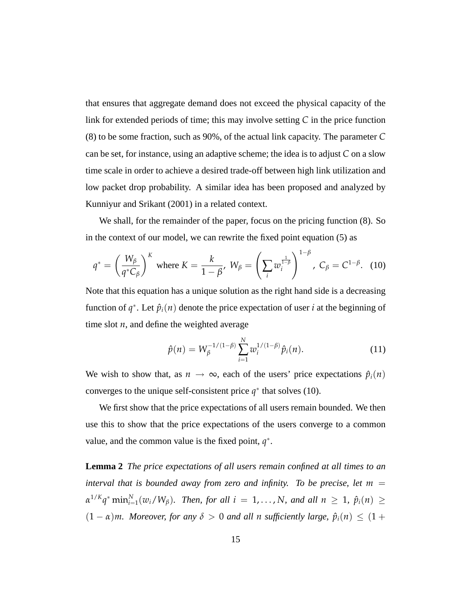that ensures that aggregate demand does not exceed the physical capacity of the link for extended periods of time; this may involve setting *C* in the price function (8) to be some fraction, such as 90%, of the actual link capacity. The parameter *C* can be set, for instance, using an adaptive scheme; the idea is to adjust *C* on a slow time scale in order to achieve a desired trade-off between high link utilization and low packet drop probability. A similar idea has been proposed and analyzed by Kunniyur and Srikant (2001) in a related context.

We shall, for the remainder of the paper, focus on the pricing function (8). So in the context of our model, we can rewrite the fixed point equation (5) as

$$
q^* = \left(\frac{W_\beta}{q^*C_\beta}\right)^K \text{ where } K = \frac{k}{1-\beta}, \ W_\beta = \left(\sum_i w_i^{\frac{1}{1-\beta}}\right)^{1-\beta}, \ C_\beta = C^{1-\beta}. \tag{10}
$$

Note that this equation has a unique solution as the right hand side is a decreasing function of  $q^*$ . Let  $\hat{p}_i(n)$  denote the price expectation of user *i* at the beginning of time slot *n*, and define the weighted average

$$
\hat{p}(n) = W_{\beta}^{-1/(1-\beta)} \sum_{i=1}^{N} w_i^{1/(1-\beta)} \hat{p}_i(n).
$$
 (11)

We wish to show that, as  $n \to \infty$ , each of the users' price expectations  $\hat{p}_i(n)$ converges to the unique self-consistent price  $q^*$  that solves (10).

We first show that the price expectations of all users remain bounded. We then use this to show that the price expectations of the users converge to a common value, and the common value is the fixed point,  $q^*$ .

**Lemma 2** *The price expectations of all users remain confined at all times to an interval that is bounded away from zero and infinity. To be precise, let*  $m =$  $\alpha^{1/K} q^*$  min $_{i=1}^N(w_i/W_\beta)$ *. Then, for all*  $i = 1, \ldots, N$ *, and all*  $n \geq 1$ *,*  $\hat{p}_i(n) \geq 1$  $(1 - \alpha)m$ *. Moreover, for any*  $\delta > 0$  *and all n sufficiently large,*  $\hat{p}_i(n) \leq (1 + \delta)n$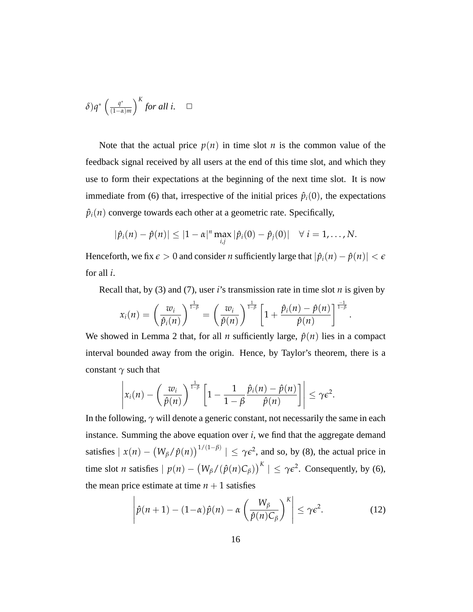$$
\delta) q^* \left( \frac{q^*}{(1-\alpha)m} \right)^K for \ all \ i. \quad \Box
$$

Note that the actual price  $p(n)$  in time slot *n* is the common value of the feedback signal received by all users at the end of this time slot, and which they use to form their expectations at the beginning of the next time slot. It is now immediate from (6) that, irrespective of the initial prices  $\hat{p}_i(0)$ , the expectations  $\hat{p}_i(n)$  converge towards each other at a geometric rate. Specifically,

$$
|\hat{p}_i(n)-\hat{p}(n)|\leq |1-\alpha|^n\max_{i,j}|\hat{p}_i(0)-\hat{p}_j(0)|\quad\forall\ i=1,\ldots,N.
$$

Henceforth, we fix  $\epsilon > 0$  and consider *n* sufficiently large that  $|\hat{p}_i(n) - \hat{p}(n)| < \epsilon$ for all *i*.

Recall that, by (3) and (7), user  $i$ 's transmission rate in time slot  $n$  is given by

.

$$
x_i(n) = \left(\frac{w_i}{\hat{p}_i(n)}\right)^{\frac{1}{1-\beta}} = \left(\frac{w_i}{\hat{p}(n)}\right)^{\frac{1}{1-\beta}} \left[1 + \frac{\hat{p}_i(n) - \hat{p}(n)}{\hat{p}(n)}\right]^{\frac{-1}{1-\beta}}
$$

We showed in Lemma 2 that, for all *n* sufficiently large,  $\hat{p}(n)$  lies in a compact interval bounded away from the origin. Hence, by Taylor's theorem, there is a constant *γ* such that

$$
\left|x_i(n)-\left(\frac{w_i}{\hat{p}(n)}\right)^{\frac{1}{1-\beta}}\left[1-\frac{1}{1-\beta}\frac{\hat{p}_i(n)-\hat{p}(n)}{\hat{p}(n)}\right]\right|\leq \gamma\epsilon^2.
$$

In the following,  $\gamma$  will denote a generic constant, not necessarily the same in each instance. Summing the above equation over  $i$ , we find that the aggregate demand satisfies  $\vert x(n) -$ ¡ *W*<sup>*β*</sup>(*n*)  $\int_1^{1/(1-\beta)}$  |  $\leq \gamma \epsilon^2$ , and so, by (8), the actual price in time slot *n* satisfies  $| p(n) -$ ¡  $W_{\beta}$ /( $\hat{p}(n)C_{\beta}$ )  $\left| \int_{0}^{K} \right| \leq \gamma \epsilon^2$ . Consequently, by (6), the mean price estimate at time  $n + 1$  satisfies  $\overline{a}$  $\overline{a}$ 

$$
\left|\hat{p}(n+1) - (1-\alpha)\hat{p}(n) - \alpha \left(\frac{W_{\beta}}{\hat{p}(n)C_{\beta}}\right)^{K}\right| \leq \gamma \epsilon^{2}.
$$
 (12)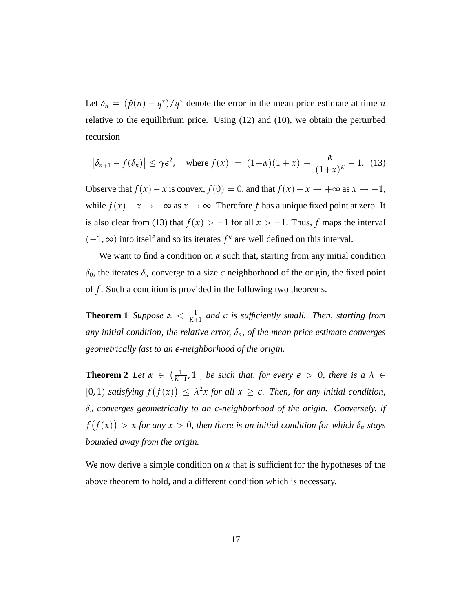Let  $\delta_n = (\hat{p}(n) - q^*)/q^*$  denote the error in the mean price estimate at time *n* relative to the equilibrium price. Using (12) and (10), we obtain the perturbed recursion

$$
\left|\delta_{n+1}-f(\delta_n)\right| \leq \gamma \epsilon^2, \quad \text{where } f(x) = (1-\alpha)(1+x) + \frac{\alpha}{(1+x)^K} - 1. \tag{13}
$$

Observe that  $f(x) - x$  is convex,  $f(0) = 0$ , and that  $f(x) - x \rightarrow +\infty$  as  $x \rightarrow -1$ , while  $f(x) - x \rightarrow -\infty$  as  $x \rightarrow \infty$ . Therefore *f* has a unique fixed point at zero. It is also clear from (13) that  $f(x) > -1$  for all  $x > -1$ . Thus, *f* maps the interval  $(-1, \infty)$  into itself and so its iterates  $f^n$  are well defined on this interval.

We want to find a condition on  $\alpha$  such that, starting from any initial condition  $\delta_0$ , the iterates  $\delta_n$  converge to a size  $\epsilon$  neighborhood of the origin, the fixed point of *f* . Such a condition is provided in the following two theorems.

**Theorem 1** *Suppose*  $\alpha < \frac{1}{K+1}$  $\frac{1}{K+1}$  and  $\epsilon$  is sufficiently small. Then, starting from *any initial condition, the relative error,*  $\delta_n$ *, of the mean price estimate converges geometrically fast to an e-neighborhood of the origin.*

**Theorem 2** *Let α* ∈  $(1)$  $\frac{1}{K+1}$ , 1 ] *be such that, for every*  $\epsilon > 0$ *, there is a*  $\lambda \in$ [0, 1) *satisfying f* ¡ *f*(*x*) ∧<br>∖  $\leq \lambda^2 x$  *for all*  $x \geq \epsilon$ *. Then, for any initial condition, δ<sup>n</sup> converges geometrically to an e-neighborhood of the origin. Conversely, if f* ¡ *f*(*x*) ¢  $> x$  *for any*  $x > 0$ , *then there is an initial condition for which*  $\delta_n$  *stays bounded away from the origin.*

We now derive a simple condition on  $\alpha$  that is sufficient for the hypotheses of the above theorem to hold, and a different condition which is necessary.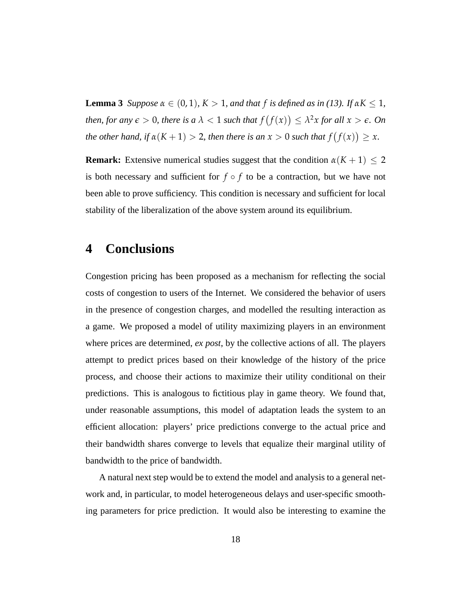**Lemma 3** *Suppose*  $\alpha \in (0,1)$ *,*  $K > 1$ *, and that*  $f$  *is defined as in* (13)*.* If  $\alpha K \leq 1$ *, then, for any*  $\epsilon > 0$ *, there is a*  $\lambda < 1$  *such that*  $f$ ¡ *f*(*x*) ¢  $\leq \lambda^2 x$  for all  $x > \epsilon$ *. On the other hand, if*  $\alpha(K + 1) > 2$ *, then there is an*  $x > 0$  *such that f* ¡ *f*(*x*) ¢ ≥ *x.*

**Remark:** Extensive numerical studies suggest that the condition  $\alpha(K + 1) \leq 2$ is both necessary and sufficient for  $f \circ f$  to be a contraction, but we have not been able to prove sufficiency. This condition is necessary and sufficient for local stability of the liberalization of the above system around its equilibrium.

#### **4 Conclusions**

Congestion pricing has been proposed as a mechanism for reflecting the social costs of congestion to users of the Internet. We considered the behavior of users in the presence of congestion charges, and modelled the resulting interaction as a game. We proposed a model of utility maximizing players in an environment where prices are determined, *ex post*, by the collective actions of all. The players attempt to predict prices based on their knowledge of the history of the price process, and choose their actions to maximize their utility conditional on their predictions. This is analogous to fictitious play in game theory. We found that, under reasonable assumptions, this model of adaptation leads the system to an efficient allocation: players' price predictions converge to the actual price and their bandwidth shares converge to levels that equalize their marginal utility of bandwidth to the price of bandwidth.

A natural next step would be to extend the model and analysis to a general network and, in particular, to model heterogeneous delays and user-specific smoothing parameters for price prediction. It would also be interesting to examine the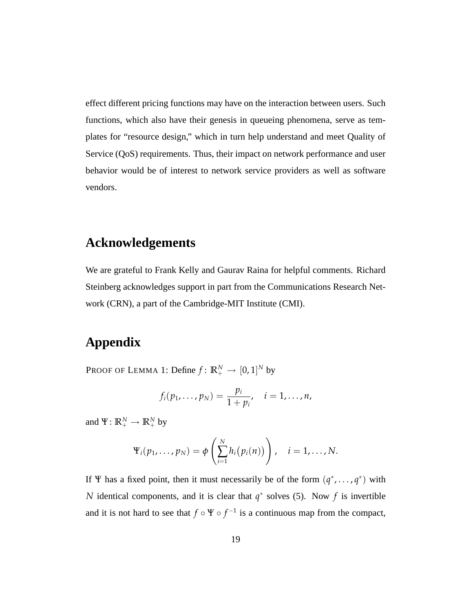effect different pricing functions may have on the interaction between users. Such functions, which also have their genesis in queueing phenomena, serve as templates for "resource design," which in turn help understand and meet Quality of Service (QoS) requirements. Thus, their impact on network performance and user behavior would be of interest to network service providers as well as software vendors.

### **Acknowledgements**

We are grateful to Frank Kelly and Gaurav Raina for helpful comments. Richard Steinberg acknowledges support in part from the Communications Research Network (CRN), a part of the Cambridge-MIT Institute (CMI).

### **Appendix**

Proof of Lemma 1: Define  $f \colon \mathbb{R}^N_+ \to [0,1]^N$  by

$$
f_i(p_1,\ldots,p_N)=\frac{p_i}{1+p_i},\quad i=1,\ldots,n,
$$

and  $\Psi: \mathbb{R}^N_+ \to \mathbb{R}^N_+$  by

$$
\Psi_i(p_1,\ldots,p_N)=\phi\left(\sum_{i=1}^N h_i(p_i(n))\right), \quad i=1,\ldots,N.
$$

If  $\Psi$  has a fixed point, then it must necessarily be of the form  $(q^*, \dots, q^*)$  with *N* identical components, and it is clear that *q*<sup>∗</sup> solves (5). Now *f* is invertible and it is not hard to see that  $f \circ \Psi \circ f^{-1}$  is a continuous map from the compact,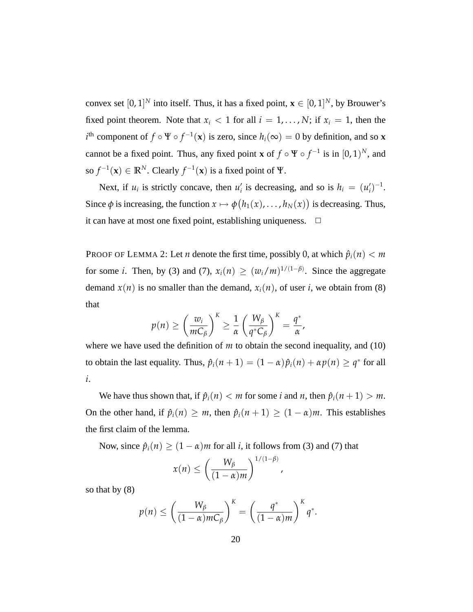convex set  $[0, 1]^N$  into itself. Thus, it has a fixed point,  $\mathbf{x} \in [0, 1]^N$ , by Brouwer's fixed point theorem. Note that  $x_i < 1$  for all  $i = 1, \ldots, N$ ; if  $x_i = 1$ , then the  $i$ <sup>th</sup> component of  $f \circ \Psi \circ f^{-1}(\mathbf{x})$  is zero, since  $h_i(\infty) = 0$  by definition, and so **x** cannot be a fixed point. Thus, any fixed point **x** of  $f \circ \Psi \circ f^{-1}$  is in  $[0, 1)^N$ , and so  $f^{-1}(\mathbf{x}) \in \mathbb{R}^N$ . Clearly  $f^{-1}(\mathbf{x})$  is a fixed point of  $\Psi$ .

Next, if  $u_i$  is strictly concave, then  $u'_i$  is decreasing, and so is  $h_i = (u'_i)^{-1}$ . Since  $\phi$  is increasing, the function  $x \mapsto \phi$ ¡  $h_1(x), \ldots, h_N(x)$ ¢ is decreasing. Thus, it can have at most one fixed point, establishing uniqueness.  $\Box$ 

PROOF OF LEMMA 2: Let *n* denote the first time, possibly 0, at which  $\hat{p}_i(n) < m$ for some *i*. Then, by (3) and (7),  $x_i(n) \ge (w_i/m)^{1/(1-\beta)}$ . Since the aggregate demand  $x(n)$  is no smaller than the demand,  $x_i(n)$ , of user *i*, we obtain from (8) that

$$
p(n) \ge \left(\frac{w_i}{mC_{\beta}}\right)^K \ge \frac{1}{\alpha} \left(\frac{W_{\beta}}{q^*C_{\beta}}\right)^K = \frac{q^*}{\alpha},
$$

where we have used the definition of *m* to obtain the second inequality, and (10) to obtain the last equality. Thus,  $\hat{p}_i(n+1) = (1 - \alpha)\hat{p}_i(n) + \alpha p(n) \geq q^*$  for all *i*.

We have thus shown that, if  $\hat{p}_i(n) < m$  for some *i* and *n*, then  $\hat{p}_i(n+1) > m$ . On the other hand, if  $\hat{p}_i(n) \geq m$ , then  $\hat{p}_i(n+1) \geq (1-\alpha)m$ . This establishes the first claim of the lemma.

Now, since  $\hat{p}_i(n) \ge (1 - \alpha)m$  for all *i*, it follows from (3) and (7) that

$$
x(n) \leq \left(\frac{W_{\beta}}{(1-\alpha)m}\right)^{1/(1-\beta)},
$$

so that by (8)

$$
p(n) \leq \left(\frac{W_{\beta}}{(1-\alpha)mC_{\beta}}\right)^K = \left(\frac{q^*}{(1-\alpha)m}\right)^K q^*.
$$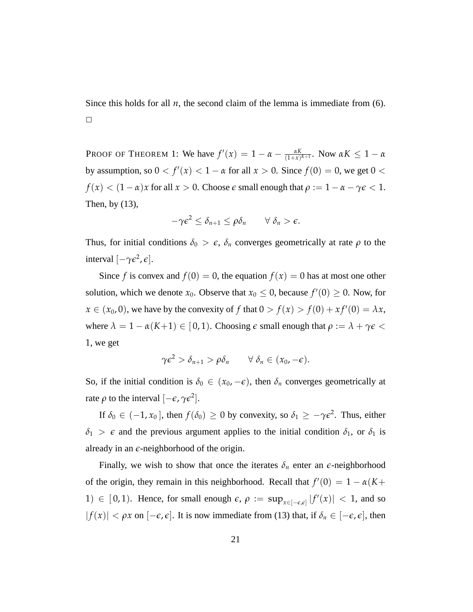Since this holds for all  $n$ , the second claim of the lemma is immediate from  $(6)$ .  $\Box$ 

PROOF OF THEOREM 1: We have  $f'(x) = 1 - \alpha - \frac{\alpha K}{(1+x)}$  $\frac{\alpha K}{(1+x)^{K+1}}$ . Now  $\alpha K \leq 1 - \alpha$ by assumption, so  $0 < f'(x) < 1 - \alpha$  for all  $x > 0$ . Since  $f(0) = 0$ , we get  $0 < \alpha$  $f(x) < (1 - \alpha)x$  for all  $x > 0$ . Choose  $\epsilon$  small enough that  $\rho := 1 - \alpha - \gamma \epsilon < 1$ . Then, by (13),

$$
-\gamma \epsilon^2 \leq \delta_{n+1} \leq \rho \delta_n \qquad \forall \delta_n > \epsilon.
$$

Thus, for initial conditions  $\delta_0 > \epsilon$ ,  $\delta_n$  converges geometrically at rate  $\rho$  to the interval  $[-\gamma \epsilon^2, \epsilon]$ .

Since *f* is convex and  $f(0) = 0$ , the equation  $f(x) = 0$  has at most one other solution, which we denote  $x_0$ . Observe that  $x_0 \le 0$ , because  $f'(0) \ge 0$ . Now, for  $x \in (x_0, 0)$ , we have by the convexity of f that  $0 > f(x) > f(0) + xf'(0) = \lambda x$ , where  $\lambda = 1 - \alpha(K+1) \in [0,1)$ . Choosing  $\epsilon$  small enough that  $\rho := \lambda + \gamma \epsilon$ 1, we get

$$
\gamma \epsilon^2 > \delta_{n+1} > \rho \delta_n \qquad \forall \delta_n \in (x_0, -\epsilon).
$$

So, if the initial condition is  $\delta_0 \in (x_0, -\epsilon)$ , then  $\delta_n$  converges geometrically at rate  $\rho$  to the interval  $[-\epsilon, \gamma \epsilon^2]$ .

If  $\delta_0 \in (-1, x_0]$ , then  $f(\delta_0) \ge 0$  by convexity, so  $\delta_1 \ge -\gamma \epsilon^2$ . Thus, either  $\delta_1$  > *e* and the previous argument applies to the initial condition  $\delta_1$ , or  $\delta_1$  is already in an *e*-neighborhood of the origin.

Finally, we wish to show that once the iterates  $\delta_n$  enter an  $\epsilon$ -neighborhood of the origin, they remain in this neighborhood. Recall that  $f'(0) = 1 - \alpha(K +$ 1) ∈ [0, 1). Hence, for small enough  $\epsilon$ ,  $\rho := \sup_{x \in [-\epsilon,\epsilon]} |f'(x)| < 1$ , and so  $|f(x)| < \rho x$  on  $[-\epsilon, \epsilon]$ . It is now immediate from (13) that, if  $\delta_n \in [-\epsilon, \epsilon]$ , then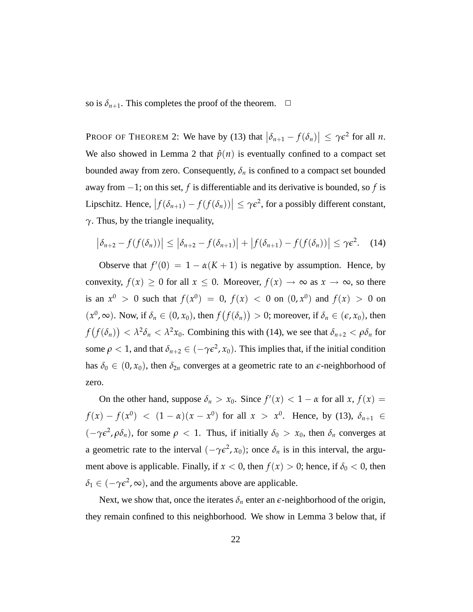so is  $\delta_{n+1}$ . This completes the proof of the theorem.  $\Box$ 

PROOF OF THEOREM 2: We have by (13) that  $|\delta_{n+1} - f(\delta_n)| \leq \gamma \epsilon^2$  for all *n*. We also showed in Lemma 2 that  $\hat{p}(n)$  is eventually confined to a compact set bounded away from zero. Consequently,  $\delta_n$  is confined to a compact set bounded away from −1; on this set, *f* is differentiable and its derivative is bounded, so *f* is Lipschitz. Hence,  $\int$  $f(\delta_{n+1}) - f(f(\delta_n))$  $\vert \leq \gamma \epsilon^2$ , for a possibly different constant, *γ*. Thus, by the triangle inequality,

$$
\left|\delta_{n+2}-f(f(\delta_n))\right| \leq \left|\delta_{n+2}-f(\delta_{n+1})\right| + \left|f(\delta_{n+1})-f(f(\delta_n))\right| \leq \gamma \epsilon^2. \quad (14)
$$

Observe that  $f'(0) = 1 - \alpha(K + 1)$  is negative by assumption. Hence, by convexity,  $f(x) \ge 0$  for all  $x \le 0$ . Moreover,  $f(x) \to \infty$  as  $x \to \infty$ , so there is an  $x^0 > 0$  such that  $f(x^0) = 0$ ,  $f(x) < 0$  on  $(0, x^0)$  and  $f(x) > 0$  on  $(x^0, \infty)$ . Now, if  $\delta_n \in (0, x_0)$ , then *f* ¡  $f(\delta_n)$ ¢  $> 0$ ; moreover, if  $\delta_n \in (\epsilon, x_0)$ , then *f* ¡  $f(\delta_n)$ ¢ < *λ* 2 *δ<sup>n</sup>* < *λ* <sup>2</sup>*x*0. Combining this with (14), we see that *δn*+<sup>2</sup> < *ρδ<sup>n</sup>* for some  $\rho < 1$ , and that  $\delta_{n+2} \in (-\gamma \varepsilon^2, x_0)$ . This implies that, if the initial condition has  $\delta_0 \in (0, x_0)$ , then  $\delta_{2n}$  converges at a geometric rate to an  $\epsilon$ -neighborhood of zero.

On the other hand, suppose  $\delta_n > x_0$ . Since  $f'(x) < 1 - \alpha$  for all  $x, f(x) =$ *f*(*x*) − *f*(*x*<sup>0</sup>) < (1 − *α*)(*x* − *x*<sup>0</sup>) for all *x* > *x*<sup>0</sup>. Hence, by (13),  $\delta_{n+1}$  ∈  $(-\gamma \epsilon^2, \rho \delta_n)$ , for some  $\rho < 1$ . Thus, if initially  $\delta_0 > x_0$ , then  $\delta_n$  converges at a geometric rate to the interval  $(-\gamma \epsilon^2, x_0)$ ; once  $\delta_n$  is in this interval, the argument above is applicable. Finally, if  $x < 0$ , then  $f(x) > 0$ ; hence, if  $\delta_0 < 0$ , then  $\delta_1 \in (-\gamma \epsilon^2, \infty)$ , and the arguments above are applicable.

Next, we show that, once the iterates  $\delta_n$  enter an  $\epsilon$ -neighborhood of the origin, they remain confined to this neighborhood. We show in Lemma 3 below that, if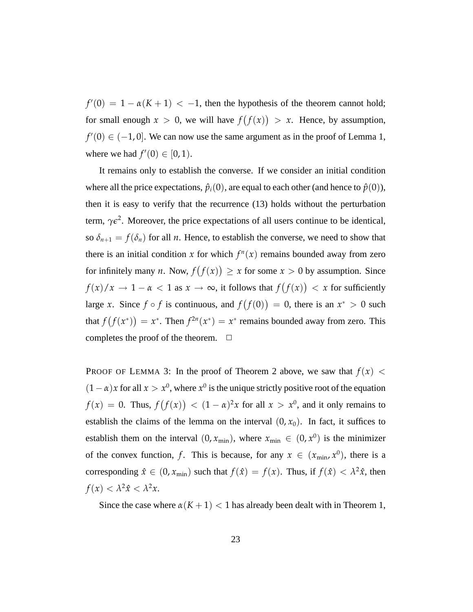$f'(0) = 1 - \alpha(K + 1) < -1$ , then the hypothesis of the theorem cannot hold; for small enough  $x > 0$ , we will have  $f$ ¡ *f*(*x*) ¢  $> x$ . Hence, by assumption,  $f'(0) \in (-1, 0]$ . We can now use the same argument as in the proof of Lemma 1, where we had  $f'(0) \in [0, 1)$ .

It remains only to establish the converse. If we consider an initial condition where all the price expectations,  $\hat{p}_i(0)$ , are equal to each other (and hence to  $\hat{p}(0)$ ), then it is easy to verify that the recurrence (13) holds without the perturbation term,  $\gamma \epsilon^2$ . Moreover, the price expectations of all users continue to be identical, so  $\delta_{n+1} = f(\delta_n)$  for all *n*. Hence, to establish the converse, we need to show that there is an initial condition *x* for which  $f^{n}(x)$  remains bounded away from zero for infinitely many *n*. Now, *f* ¡ *f*(*x*) ¢  $\geq x$  for some  $x > 0$  by assumption. Since  $f(x)/x \to 1 - \alpha < 1$  as  $x \to \infty$ , it follows that *f* ¡ *f*(*x*) ¢  $\langle x \rangle$  for sufficiently large *x*. Since *f* ◦ *f* is continuous, and *f* ¡ *f*(0) ¢  $= 0$ , there is an  $x^* > 0$  such that *f* ¡ *f*(*x* ∗ ) ¢  $= x^*$ . Then  $f^{2n}(x^*) = x^*$  remains bounded away from zero. This completes the proof of the theorem.  $\Box$ 

PROOF OF LEMMA 3: In the proof of Theorem 2 above, we saw that  $f(x)$  <  $(1 - \alpha)x$  for all  $x > x^0$ , where  $x^0$  is the unique strictly positive root of the equation  $f(x) = 0$ . Thus, *f* ¡ *f*(*x*) ¢  $<$   $(1 - \alpha)^2 x$  for all  $x > x^0$ , and it only remains to establish the claims of the lemma on the interval  $(0, x_0)$ . In fact, it suffices to establish them on the interval  $(0, x_{min})$ , where  $x_{min} \in (0, x^0)$  is the minimizer of the convex function, f. This is because, for any  $x \in (x_{\min}, x^0)$ , there is a corresponding  $\hat{x} \in (0, x_{\min})$  such that  $f(\hat{x}) = f(x)$ . Thus, if  $f(\hat{x}) < \lambda^2 \hat{x}$ , then  $f(x) < \lambda^2 \hat{x} < \lambda^2 x$ .

Since the case where  $\alpha(K+1) < 1$  has already been dealt with in Theorem 1,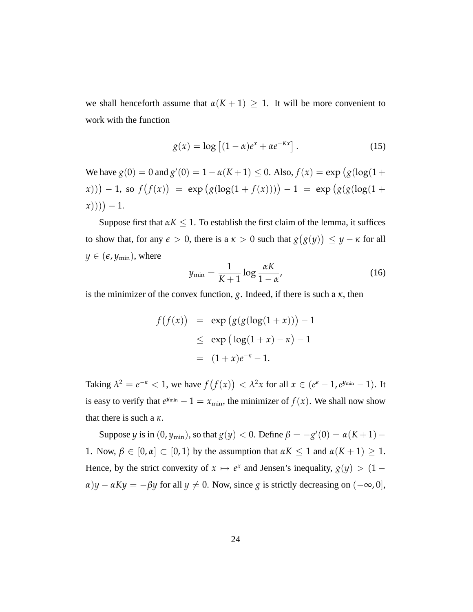we shall henceforth assume that  $\alpha(K + 1) \geq 1$ . It will be more convenient to work with the function

$$
g(x) = \log\left[ (1 - \alpha)e^x + \alpha e^{-Kx} \right].
$$
 (15)

We have  $g(0) = 0$  and  $g'(0) = 1 - \alpha(K+1) \le 0$ . Also,  $f(x) = \exp(g(\log(1 +$  $(x))$   $-1$ , so *f* ¡ *f*(*x*)  $\begin{aligned} \n\text{exp} \left( g(\log(1 + f(x))) \right) - 1 &= \exp \left( g(g(\log(1 + f(x)))) \right) - 1 &= \exp \left( g(g(\log(1 + f(x)))) \right) - 1 &= \exp \left( g(g(\log(1 + f(x)))) \right) - 1 &= \exp \left( g(g(\log(1 + f(x)))) \right) - 1 &= \exp \left( g(g(\log(1 + f(x)))) \right) - 1 &= \exp \left( g(g(\log(1 + f(x)))) \right) - 1 &= \exp \left( g(g(\log(1 + f(x)))) \right) - 1 &= \exp \left( g(g(\log(1$  $(x))$  () + 1.

Suppose first that  $\alpha K \leq 1$ . To establish the first claim of the lemma, it suffices to show that, for any  $\epsilon > 0$ , there is a  $\kappa > 0$  such that *g* ¡ *g*(*y*) ¢ ≤ *y* − *κ* for all  $y \in (e, y_{\text{min}})$ , where

$$
y_{\min} = \frac{1}{K+1} \log \frac{\alpha K}{1-\alpha'},
$$
 (16)

is the minimizer of the convex function,  $g$ . Indeed, if there is such a  $\kappa$ , then

$$
f(f(x)) = \exp (g(g(\log(1+x))) - 1)
$$
  
\n
$$
\leq \exp (\log(1+x) - \kappa) - 1
$$
  
\n
$$
= (1+x)e^{-\kappa} - 1.
$$

Taking  $\lambda^2 = e^{-\kappa} < 1$ , we have *f* ¡ *f*(*x*) ¢  $< \lambda^2 x$  for all  $x \in (e^{\epsilon} - 1, e^{y_{\min}} - 1)$ . It is easy to verify that  $e^{y_{\min}} - 1 = x_{\min}$ , the minimizer of  $f(x)$ . We shall now show that there is such a *κ*.

Suppose *y* is in  $(0, y_{min})$ , so that  $g(y) < 0$ . Define  $\beta = -g'(0) = \alpha(K+1) -$ 1. Now,  $\beta \in [0, \alpha] \subset [0, 1)$  by the assumption that  $\alpha K \le 1$  and  $\alpha (K + 1) \ge 1$ . Hence, by the strict convexity of  $x \mapsto e^x$  and Jensen's inequality,  $g(y) > (1 \alpha$ )*y* −  $\alpha$ *Ky* = −*βy* for all *y*  $\neq$  0. Now, since *g* is strictly decreasing on (−∞, 0],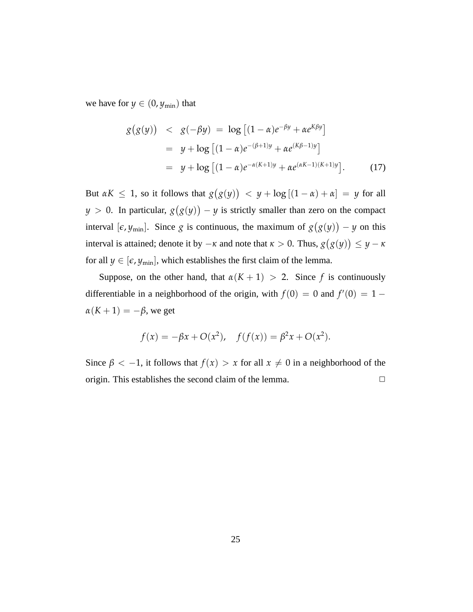we have for  $y \in (0, y_{\text{min}})$  that

$$
g(g(y)) < g(-\beta y) = \log [(1 - \alpha)e^{-\beta y} + \alpha e^{K\beta y}]
$$
  
=  $y + \log [(1 - \alpha)e^{-(\beta + 1)y} + \alpha e^{(K\beta - 1)y}]$   
=  $y + \log [(1 - \alpha)e^{-\alpha(K+1)y} + \alpha e^{(\alpha K-1)(K+1)y}].$  (17)

But  $\alpha K \leq 1$ , so it follows that *g* ¡ *g*(*y*) ¢  $y + \log[(1 - \alpha) + \alpha] = y$  for all *y* > 0. In particular, *g* ¡ *g*(*y*) ¢ − *y* is strictly smaller than zero on the compact interval  $[\epsilon, y_{min}]$ . Since *g* is continuous, the maximum of *g* ¡ *g*(*y*) ¢ − *y* on this interval is attained; denote it by  $-\kappa$  and note that  $\kappa > 0$ . Thus,  $g(g(y)) \leq y - \kappa$  $\frac{1}{2}$ for all  $y \in [\epsilon, y_{\min}]$ , which establishes the first claim of the lemma.

Suppose, on the other hand, that  $\alpha(K + 1) > 2$ . Since *f* is continuously differentiable in a neighborhood of the origin, with  $f(0) = 0$  and  $f'(0) = 1 \alpha(K+1) = -\beta$ , we get

$$
f(x) = -\beta x + O(x^2), \quad f(f(x)) = \beta^2 x + O(x^2).
$$

Since  $\beta < -1$ , it follows that  $f(x) > x$  for all  $x \neq 0$  in a neighborhood of the origin. This establishes the second claim of the lemma.  $\Box$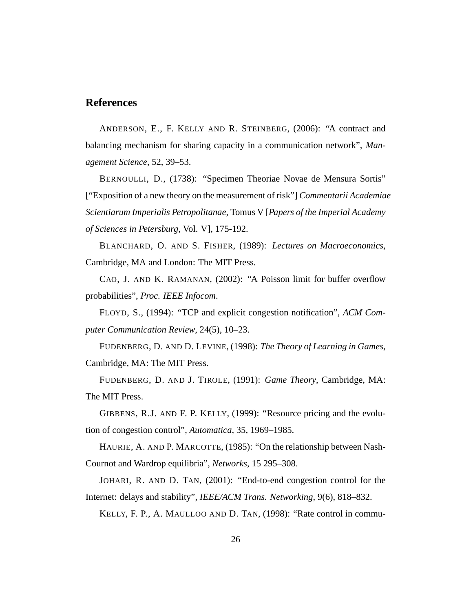#### **References**

ANDERSON, E., F. KELLY AND R. STEINBERG, (2006): "A contract and balancing mechanism for sharing capacity in a communication network", *Management Science*, 52, 39–53.

BERNOULLI, D., (1738): "Specimen Theoriae Novae de Mensura Sortis" ["Exposition of a new theory on the measurement of risk"] *Commentarii Academiae Scientiarum Imperialis Petropolitanae*, Tomus V [*Papers of the Imperial Academy of Sciences in Petersburg*, Vol. V], 175-192.

BLANCHARD, O. AND S. FISHER, (1989): *Lectures on Macroeconomics*, Cambridge, MA and London: The MIT Press.

CAO, J. AND K. RAMANAN, (2002): "A Poisson limit for buffer overflow probabilities", *Proc. IEEE Infocom*.

FLOYD, S., (1994): "TCP and explicit congestion notification", *ACM Computer Communication Review*, 24(5), 10–23.

FUDENBERG, D. AND D. LEVINE, (1998): *The Theory of Learning in Games*, Cambridge, MA: The MIT Press.

FUDENBERG, D. AND J. TIROLE, (1991): *Game Theory*, Cambridge, MA: The MIT Press.

GIBBENS, R.J. AND F. P. KELLY, (1999): "Resource pricing and the evolution of congestion control", *Automatica*, 35, 1969–1985.

HAURIE, A. AND P. MARCOTTE, (1985): "On the relationship between Nash-Cournot and Wardrop equilibria", *Networks*, 15 295–308.

JOHARI, R. AND D. TAN, (2001): "End-to-end congestion control for the Internet: delays and stability", *IEEE/ACM Trans. Networking*, 9(6), 818–832.

KELLY, F. P., A. MAULLOO AND D. TAN, (1998): "Rate control in commu-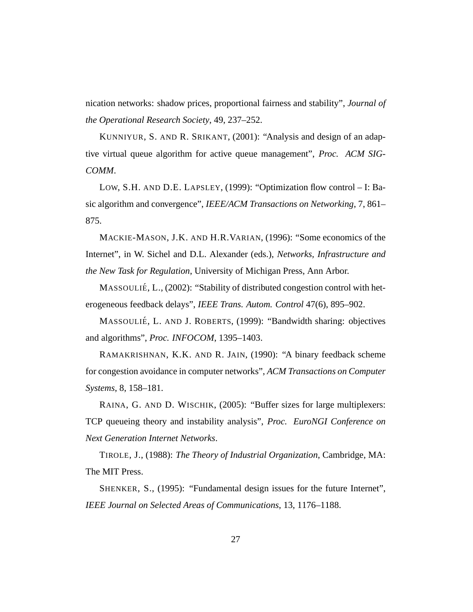nication networks: shadow prices, proportional fairness and stability", *Journal of the Operational Research Society*, 49, 237–252.

KUNNIYUR, S. AND R. SRIKANT, (2001): "Analysis and design of an adaptive virtual queue algorithm for active queue management", *Proc. ACM SIG-COMM*.

LOW, S.H. AND D.E. LAPSLEY, (1999): "Optimization flow control – I: Basic algorithm and convergence", *IEEE/ACM Transactions on Networking*, 7, 861– 875.

MACKIE-MASON, J.K. AND H.R.VARIAN, (1996): "Some economics of the Internet", in W. Sichel and D.L. Alexander (eds.), *Networks, Infrastructure and the New Task for Regulation*, University of Michigan Press, Ann Arbor.

MASSOULIÉ, L., (2002): "Stability of distributed congestion control with heterogeneous feedback delays", *IEEE Trans. Autom. Control* 47(6), 895–902.

MASSOULIÉ, L. AND J. ROBERTS, (1999): "Bandwidth sharing: objectives and algorithms", *Proc. INFOCOM*, 1395–1403.

RAMAKRISHNAN, K.K. AND R. JAIN, (1990): "A binary feedback scheme for congestion avoidance in computer networks", *ACM Transactions on Computer Systems*, 8, 158–181.

RAINA, G. AND D. WISCHIK, (2005): "Buffer sizes for large multiplexers: TCP queueing theory and instability analysis", *Proc. EuroNGI Conference on Next Generation Internet Networks*.

TIROLE, J., (1988): *The Theory of Industrial Organization*, Cambridge, MA: The MIT Press.

SHENKER, S., (1995): "Fundamental design issues for the future Internet", *IEEE Journal on Selected Areas of Communications*, 13, 1176–1188.